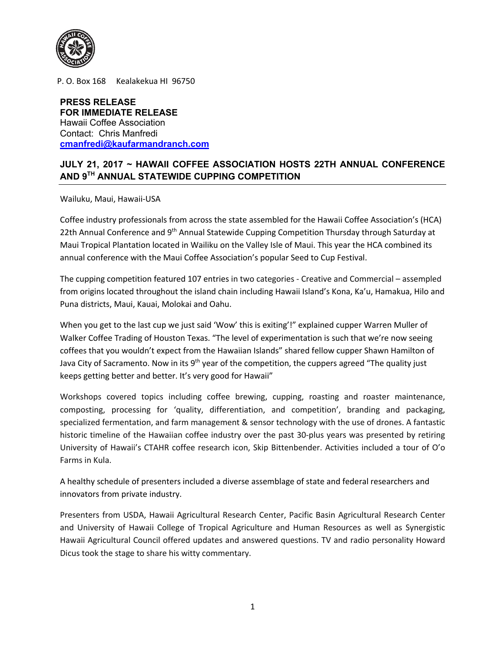

P. O. Box 168 Kealakekua HI 96750

**PRESS RELEASE FOR IMMEDIATE RELEASE** Hawaii Coffee Association Contact: Chris Manfredi **cmanfredi@kaufarmandranch.com**

## **JULY 21, 2017 ~ HAWAII COFFEE ASSOCIATION HOSTS 22TH ANNUAL CONFERENCE AND 9TH ANNUAL STATEWIDE CUPPING COMPETITION**

Wailuku, Maui, Hawaii-USA

Coffee industry professionals from across the state assembled for the Hawaii Coffee Association's (HCA) 22th Annual Conference and 9<sup>th</sup> Annual Statewide Cupping Competition Thursday through Saturday at Maui Tropical Plantation located in Wailiku on the Valley Isle of Maui. This year the HCA combined its annual conference with the Maui Coffee Association's popular Seed to Cup Festival.

The cupping competition featured 107 entries in two categories - Creative and Commercial – assempled from origins located throughout the island chain including Hawaii Island's Kona, Ka'u, Hamakua, Hilo and Puna districts, Maui, Kauai, Molokai and Oahu.

When you get to the last cup we just said 'Wow' this is exiting'!" explained cupper Warren Muller of Walker Coffee Trading of Houston Texas. "The level of experimentation is such that we're now seeing coffees that you wouldn't expect from the Hawaiian Islands" shared fellow cupper Shawn Hamilton of Java City of Sacramento. Now in its  $9<sup>th</sup>$  year of the competition, the cuppers agreed "The quality just keeps getting better and better. It's very good for Hawaii"

Workshops covered topics including coffee brewing, cupping, roasting and roaster maintenance, composting, processing for 'quality, differentiation, and competition', branding and packaging, specialized fermentation, and farm management & sensor technology with the use of drones. A fantastic historic timeline of the Hawaiian coffee industry over the past 30-plus years was presented by retiring University of Hawaii's CTAHR coffee research icon, Skip Bittenbender. Activities included a tour of O'o Farms in Kula.

A healthy schedule of presenters included a diverse assemblage of state and federal researchers and innovators from private industry.

Presenters from USDA, Hawaii Agricultural Research Center, Pacific Basin Agricultural Research Center and University of Hawaii College of Tropical Agriculture and Human Resources as well as Synergistic Hawaii Agricultural Council offered updates and answered questions. TV and radio personality Howard Dicus took the stage to share his witty commentary.